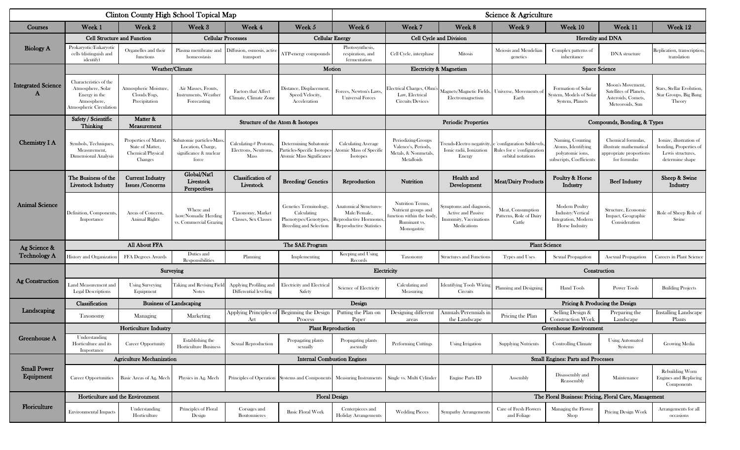|                                 |                                                                                                        |                                                                           | Clinton County High School Topical Map                                           |                                                      |                                                                                                | Science & Agriculture                                                                                    |                                                                                                    |                                                                                               |                                                                                                          |                                                                                        |                                                                                          |                                                                                           |  |
|---------------------------------|--------------------------------------------------------------------------------------------------------|---------------------------------------------------------------------------|----------------------------------------------------------------------------------|------------------------------------------------------|------------------------------------------------------------------------------------------------|----------------------------------------------------------------------------------------------------------|----------------------------------------------------------------------------------------------------|-----------------------------------------------------------------------------------------------|----------------------------------------------------------------------------------------------------------|----------------------------------------------------------------------------------------|------------------------------------------------------------------------------------------|-------------------------------------------------------------------------------------------|--|
| Courses                         | Week 1                                                                                                 | Week 2                                                                    | Week 3                                                                           | Week 4                                               | Week 5                                                                                         | Week 6                                                                                                   | Week 7                                                                                             | Week 8                                                                                        | Week 9                                                                                                   | Week 10                                                                                | Week 11                                                                                  | Week 12                                                                                   |  |
| <b>Biology A</b>                | <b>Cell Structure and Function</b>                                                                     |                                                                           |                                                                                  | <b>Cellular Processes</b>                            | <b>Cellular Energy</b>                                                                         |                                                                                                          | Cell Cycle and Division                                                                            |                                                                                               | Heredity and DNA                                                                                         |                                                                                        |                                                                                          |                                                                                           |  |
|                                 | Prokaryotic/Eukaryotic<br>cells (distinguish and<br>identify)                                          | Organelles and their<br>functions                                         | Plasma membrane and<br>homeostasis                                               | Diffusion, osmosis, activ<br>transport               | ATP-energy compounds                                                                           | Photosynthesis,<br>respiration, and<br>fermentation                                                      | Cell Cycle, interphase                                                                             | Mitosis                                                                                       | Meiosis and Mendelian<br>genetics                                                                        | Complex patterns of<br>inheritance                                                     | DNA structure                                                                            | Replication, transcription, <br>translation                                               |  |
|                                 | Weather/Climate                                                                                        |                                                                           |                                                                                  |                                                      | Motion                                                                                         |                                                                                                          | <b>Electricity &amp; Magnetism</b>                                                                 |                                                                                               |                                                                                                          | <b>Space Science</b>                                                                   |                                                                                          |                                                                                           |  |
| <b>Integrated Science</b>       | Characteristics of the<br>Atmosphere, Solar<br>Energy in the<br>Atmosphere,<br>Atmospheric Circulation | Atmospheric Moisture<br>Clouds/Fogs,<br>Precipitation                     | Air Masses, Fronts,<br>Instruments, Weather<br>Forecasting                       | <b>Factors that Affect</b><br>Climate, Climate Zone  | Distance, Displacement<br>Speed/Velocity,<br>Acceleration                                      | Forces, Newton's Laws.<br><b>Universal Forces</b>                                                        | Electrical Charges, Ohm's<br>Law, Electrical<br>Circuits/Devices                                   | Magnets/Magnetic Fields, Universe, Movements of<br>Electromagnetism                           | Earth                                                                                                    | Formation of Solar<br>System, Models of Sola<br>System, Planets                        | Moon's Movement<br>Satellites of Planets.<br>Asteroids, Comets,<br>Meteoroids, Sun       | Stars, Stellar Evolution,<br>Star Groups, Big Bang<br>Theory                              |  |
|                                 | Safety / Scientific<br>Thinking                                                                        | Matter &<br>Measurement                                                   |                                                                                  |                                                      | Structure of the Atom & Isotopes                                                               |                                                                                                          | <b>Periodic Properties</b>                                                                         |                                                                                               |                                                                                                          |                                                                                        | Compounds, Bonding, & Types                                                              |                                                                                           |  |
| <b>Chemistry I A</b>            | Symbols, Techniques,<br>Measurement,<br><b>Dimensional Analysis</b>                                    | Properties of Matter,<br>State of Matter,<br>Chemical/Physical<br>Changes | Subatomic particles-Mass<br>Location, Charge,<br>significance & nuclear<br>force | Calculating-# Protons<br>Electrons, Neutrons<br>Mass | Determining Subatomic<br>Particles-Specific Isotopes<br>Atomic Mass Significance               | <b>Calculating Average</b><br><b>Atomic Mass of Specific</b><br>Isotopes                                 | Periodizing-Groups<br>Valence's, Periods<br>Metals, & Nonmetals,<br>Metalloids                     | Ionic radii, Ionization<br>Energy                                                             | rends-Electro negativity, e 'configuration Sublevels'<br>Rules for e 'configuration<br>orbital notations | Naming, Counting<br>Atoms, Identifying<br>polyatomic ions,<br>subscripts, Coefficients | Chemical formulas,<br>illustrate mathematical<br>appropriate proportions<br>for formulas | Ionize, illustration of<br>bonding, Properties of<br>Lewis structures,<br>determine shape |  |
| <b>Animal Science</b>           | The Business of the<br><b>Livestock Industry</b>                                                       | <b>Current Industry</b><br><b>Issues /Concerns</b>                        | Global/Nat'l<br>Livestock<br><b>Perspectives</b>                                 | Classification of<br>Livestock                       | <b>Breeding/ Genetics</b>                                                                      | Reproduction                                                                                             | Nutrition                                                                                          | Health and<br>Development                                                                     | <b>Meat/Dairy Products</b>                                                                               | Poultry & Horse<br>Industry                                                            | <b>Beef Industry</b>                                                                     | Sheep & Swine<br>Industry                                                                 |  |
|                                 | Definition, Components<br>Importance                                                                   | Areas of Concern,<br><b>Animal Rights</b>                                 | Where and<br>how/Nomadic Herding<br>vs. Commercial Grazing                       | Taxonomy, Market<br>Classes, Sex Classes             | Genetics Terminology,<br>Calculating<br>Phenotypes/Genotypes,<br><b>Breeding and Selection</b> | <b>Anatomical Structures-</b><br>Male/Female,<br>Reproductive Hormones<br><b>Reproductive Statistics</b> | Nutrition Terms,<br>Nutrient groups and<br>unction within the body,<br>Ruminant vs.<br>Monogastric | iymptoms and diagnosis<br>Active and Passive<br><b>Immunity</b> , Vaccinations<br>Medications | Meat, Consumption<br>Patterns, Role of Dairy<br>Cattle                                                   | Modern Poultry<br>Industry/Vertical<br>Integration, Modern<br>Horse Industry           | Structure, Economic<br>Impact, Geographic<br>Consideration                               | Role of Sheep Role of<br>Swine                                                            |  |
| Ag Science &                    | All About FFA                                                                                          |                                                                           |                                                                                  | The SAE Program                                      |                                                                                                |                                                                                                          |                                                                                                    | <b>Plant Science</b>                                                                          |                                                                                                          |                                                                                        |                                                                                          |                                                                                           |  |
| <b>Technology A</b>             | History and Organizatio                                                                                | FFA Degrees Awards                                                        | Duties and<br>Responsibilities                                                   | Planning                                             | Implementing                                                                                   | Keeping and Using<br>Records                                                                             | Taxonomy                                                                                           | Structures and Functions                                                                      | Types and Uses                                                                                           | Sexual Propagation                                                                     | Asexual Propagation                                                                      | Careers in Plant Science                                                                  |  |
|                                 | Surveying                                                                                              |                                                                           |                                                                                  |                                                      | Electricity                                                                                    |                                                                                                          |                                                                                                    | Construction                                                                                  |                                                                                                          |                                                                                        |                                                                                          |                                                                                           |  |
| <b>Ag Construction</b>          | Land Measurement and<br><b>Legal Descriptions</b>                                                      | <b>Using Surveying</b><br>Equipment                                       | Taking and Revising Field                                                        | Applying Profiling and<br>Differential leveling      | <b>Electricity and Electrical</b><br>Safety                                                    | Science of Electricity                                                                                   | Calculating and<br>Measuring                                                                       | <b>Identifying Tools Wiring</b><br>Circuits                                                   | Planning and Designing                                                                                   | <b>Hand Tools</b>                                                                      | <b>Power Tools</b>                                                                       | <b>Building Projects</b>                                                                  |  |
| Landscaping                     | Classification<br><b>Business of Landscaping</b>                                                       |                                                                           |                                                                                  | Design                                               |                                                                                                |                                                                                                          | Pricing & Producing the Design                                                                     |                                                                                               |                                                                                                          |                                                                                        |                                                                                          |                                                                                           |  |
|                                 | Taxonomy                                                                                               | Managing                                                                  | Marketing                                                                        | Applying Principles of Beginning the Design<br>Art   | Process                                                                                        | Putting the Plan on<br>Paper                                                                             | Designing different<br>areas                                                                       | Annuals/Perennials in<br>the Landscape                                                        | Pricing the Plan                                                                                         | Selling Design &<br>Construction Work                                                  | Preparing the<br>Landscape                                                               | <b>Installing Landscape</b><br>Plants                                                     |  |
| Greenhouse A                    | <b>Horticulture Industry</b>                                                                           |                                                                           |                                                                                  | <b>Plant Reproduction</b>                            |                                                                                                |                                                                                                          |                                                                                                    |                                                                                               |                                                                                                          | <b>Greenhouse Environment</b>                                                          |                                                                                          |                                                                                           |  |
|                                 | Understanding<br>Horticulture and its<br>Importance                                                    | <b>Career Opportunity</b>                                                 | Establishing the<br><b>Horticulture Business</b>                                 | Sexual Reproduction                                  | Propagating plants<br>sexually                                                                 | Propagating plants<br>asexually                                                                          | <b>Performing Cuttings</b>                                                                         | <b>Using Irrigation</b>                                                                       | <b>Supplying Nutrients</b>                                                                               | <b>Controlling Climate</b>                                                             | <b>Using Automated</b><br><b>Systems</b>                                                 | Growing Media                                                                             |  |
| <b>Small Power</b><br>Equipment | <b>Agriculture Mechanization</b>                                                                       |                                                                           |                                                                                  | <b>Internal Combustion Engines</b>                   |                                                                                                |                                                                                                          |                                                                                                    |                                                                                               |                                                                                                          | <b>Small Engines: Parts and Processes</b>                                              |                                                                                          |                                                                                           |  |
|                                 | <b>Career Opportunities</b>                                                                            | Basic Areas of Ag. Mech                                                   | Physics in Ag. Mech                                                              |                                                      | Principles of Operation Systems and Components Measuring Instruments Single vs. Multi Cylinder |                                                                                                          |                                                                                                    | Engine Parts ID                                                                               | Assembly                                                                                                 | Disassembly and<br>Reassembly                                                          | Maintenance                                                                              | Rebuilding Worn<br>Engines and Replacing<br>Components                                    |  |
| Floriculture                    | Horticulture and the Environment                                                                       |                                                                           |                                                                                  |                                                      | <b>Floral Design</b>                                                                           |                                                                                                          |                                                                                                    |                                                                                               |                                                                                                          | The Floral Business: Pricing, Floral Care, Management                                  |                                                                                          |                                                                                           |  |
|                                 | <b>Environmental Impacts</b>                                                                           | Understanding<br>Horticulture                                             | Principles of Floral<br>Design                                                   | Corsages and<br>Boutonnieres                         | <b>Basic Floral Work</b>                                                                       | Centerpieces and<br>Holiday Arrangements                                                                 | <b>Wedding Pieces</b>                                                                              | <b>Sympathy Arrangement</b>                                                                   | Care of Fresh Flowers<br>and Foliage                                                                     | Managing the Flower<br>Shop                                                            | Pricing Design Work                                                                      | Arrangements for all<br>occasions                                                         |  |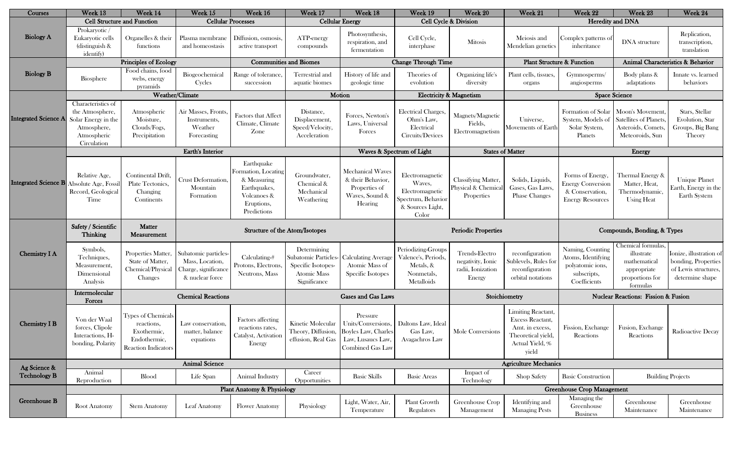| Courses                     | Week 13                                                                                                   | Week 14                                                                                       | Week 15                                                                            | Week 16                                                                                                      | Week 17                                                                                         | Week 18                                                                                                           | Week 19                                                                                         | Week 20                                                            | Week 21                                                                                                            | Week 22                                                                                    | Week 23                                                                                        | Week 24                                                                                   |  |
|-----------------------------|-----------------------------------------------------------------------------------------------------------|-----------------------------------------------------------------------------------------------|------------------------------------------------------------------------------------|--------------------------------------------------------------------------------------------------------------|-------------------------------------------------------------------------------------------------|-------------------------------------------------------------------------------------------------------------------|-------------------------------------------------------------------------------------------------|--------------------------------------------------------------------|--------------------------------------------------------------------------------------------------------------------|--------------------------------------------------------------------------------------------|------------------------------------------------------------------------------------------------|-------------------------------------------------------------------------------------------|--|
|                             | <b>Cell Structure and Function</b>                                                                        |                                                                                               | <b>Cellular Processes</b>                                                          |                                                                                                              | <b>Cellular Energy</b>                                                                          |                                                                                                                   | Cell Cycle & Division                                                                           |                                                                    | Heredity and DNA                                                                                                   |                                                                                            |                                                                                                |                                                                                           |  |
| <b>Biology A</b>            | Prokaryotic /<br>Eukaryotic cells<br>(distinguish $&$<br>identify)                                        | Organelles & their<br>functions                                                               | Plasma membrane<br>and homeostasis                                                 | Diffusion, osmosis.<br>active transport                                                                      | ATP-energy<br>compounds                                                                         | Photosynthesis,<br>respiration, and<br>fermentation                                                               | Cell Cycle,<br>interphase                                                                       | Mitosis                                                            | Meiosis and<br>Mendelian genetics                                                                                  | Complex patterns of<br>inheritance                                                         | DNA structure                                                                                  | Replication,<br>transcription,<br>translation                                             |  |
|                             | Principles of Ecology                                                                                     |                                                                                               |                                                                                    | <b>Communities and Biomes</b>                                                                                |                                                                                                 | <b>Change Through Time</b>                                                                                        |                                                                                                 | <b>Plant Structure &amp; Function</b>                              |                                                                                                                    | Animal Characteristics & Behavior                                                          |                                                                                                |                                                                                           |  |
| <b>Biology B</b>            | Biosphere                                                                                                 | Food chains, food<br>webs, energy<br>pyramids                                                 | Biogeochemical<br>Cycles                                                           | Range of tolerance,<br>succession                                                                            | Terrestrial and<br>aquatic biomes                                                               | History of life and<br>geologic time                                                                              | Theories of<br>evolution                                                                        | Organizing life's<br>diversity                                     | Plant cells, tissues,<br>organs                                                                                    | Gymnosperms/<br>angiosperms                                                                | Body plans &<br>adaptations                                                                    | Innate vs. learned<br>behaviors                                                           |  |
|                             |                                                                                                           | Weather/Climate                                                                               |                                                                                    |                                                                                                              | Motion                                                                                          |                                                                                                                   | <b>Electricity &amp; Magnetism</b>                                                              |                                                                    |                                                                                                                    |                                                                                            | <b>Space Science</b>                                                                           |                                                                                           |  |
| <b>Integrated Science A</b> | Characteristics of<br>the Atmosphere,<br>Solar Energy in the<br>Atmosphere,<br>Atmospheric<br>Circulation | Atmospheric<br>Moisture,<br>Clouds/Fogs,<br>Precipitation                                     | Air Masses, Fronts,<br>Instruments,<br>Weather<br>Forecasting                      | <b>Factors that Affect</b><br>Climate, Climate<br>Zone                                                       | Distance,<br>Displacement,<br>Speed/Velocity,<br>Acceleration                                   | Forces, Newton's<br>Laws, Universal<br>Forces                                                                     | Electrical Charges,<br>Ohm's Law,<br>Electrical<br>Circuits/Devices                             | Magnets/Magnetic<br>Fields,<br>Electromagnetism                    | Universe,<br>Movements of Earth                                                                                    | Formation of Solar<br>System, Models of<br>Solar System,<br>Planets                        | Moon's Movement,<br>Satellites of Planets,<br>Asteroids, Comets,<br>Meteoroids, Sun            | Stars, Stellar<br>Evolution, Star<br>Groups, Big Bang<br>Theory                           |  |
|                             | <b>Earth's Interior</b>                                                                                   |                                                                                               |                                                                                    |                                                                                                              |                                                                                                 | Waves & Spectrum of Light                                                                                         |                                                                                                 |                                                                    | <b>States of Matter</b>                                                                                            |                                                                                            | Energy                                                                                         |                                                                                           |  |
| Integrated Science B        | Relative Age,<br>Absolute Age, Fossil<br>Record, Geological<br>Time                                       | Continental Drift,<br>Plate Tectonics,<br>Changing<br>Continents                              | Crust Deformation.<br>Mountain<br>Formation                                        | Earthquake<br>Formation, Locating<br>& Measuring<br>Earthquakes,<br>Volcanoes &<br>Eruptions,<br>Predictions | Groundwater,<br>Chemical &<br>Mechanical<br>Weathering                                          | <b>Mechanical Waves</b><br>& their Behavior,<br>Properties of<br>Waves, Sound &<br>Hearing                        | Electromagnetic<br>Waves,<br>Electromagnetic<br>Spectrum, Behavior<br>& Sources Light,<br>Color | <b>Classifying Matter</b><br>Physical & Chemical<br>Properties     | Solids, Liquids,<br>Gases, Gas Laws,<br>Phase Changes                                                              | Forms of Energy,<br><b>Energy Conversion</b><br>& Conservation,<br><b>Energy Resources</b> | Thermal Energy &<br>Matter, Heat,<br>Thermodynamic,<br><b>Using Heat</b>                       | <b>Unique Planet</b><br>Earth, Energy in the<br>Earth System                              |  |
| Chemistry I A               | Safety / Scientific<br><b>Thinking</b>                                                                    | <b>Matter</b><br><b>Measurement</b>                                                           | Structure of the Atom/Isotopes                                                     |                                                                                                              |                                                                                                 |                                                                                                                   |                                                                                                 | <b>Periodic Properties</b>                                         |                                                                                                                    | Compounds, Bonding, & Types                                                                |                                                                                                |                                                                                           |  |
|                             | Symbols,<br>Techniques,<br>Measurement,<br>Dimensional<br>Analysis                                        | Properties Matter,<br>State of Matter,<br>Chemical/Physical<br>Changes                        | Subatomic particles-<br>Mass, Location,<br>Charge, significance<br>& nuclear force | Calculating-#<br>Protons, Electrons<br>Neutrons, Mass                                                        | Determining<br>Subatomic Particles-<br>Specific Isotopes-<br><b>Atomic Mass</b><br>Significance | <b>Calculating Average</b><br>Atomic Mass of<br>Specific Isotopes                                                 | Periodizing-Groups<br>Valence's, Periods,<br>Metals, &<br>Nonmetals,<br>Metalloids              | Trends-Electro<br>negativity, Ionic<br>radii, Ionization<br>Energy | reconfiguration<br>Sublevels, Rules for<br>reconfiguration<br>orbital notations                                    | Naming, Counting<br>Atoms, Identifying<br>polyatomic ions,<br>subscripts,<br>Coefficients  | Chemical formulas,<br>illustrate<br>mathematical<br>appropriate<br>proportions for<br>formulas | Ionize, illustration of<br>bonding, Properties<br>of Lewis structures,<br>determine shape |  |
|                             | Intermolecular<br>Forces                                                                                  |                                                                                               | <b>Chemical Reactions</b>                                                          |                                                                                                              |                                                                                                 | <b>Gases and Gas Laws</b>                                                                                         | Stoichiometry                                                                                   |                                                                    |                                                                                                                    | <b>Nuclear Reactions: Fission &amp; Fusion</b>                                             |                                                                                                |                                                                                           |  |
| <b>Chemistry I B</b>        | Von der Waal<br>forces, Clipole<br>Interactions, H-<br>bonding, Polarity                                  | Types of Chemicals<br>reactions,<br>Exothermic,<br>Endothermic,<br><b>Reaction Indicators</b> | Law conservation,<br>matter, balance<br>equations                                  | Factors affecting<br>reactions rates,<br>Catalyst, Activation<br>Energy                                      | Kinetic Molecular<br>effusion, Real Gas                                                         | Pressure<br>Units/Conversions,<br>Theory, Diffusion, Boyles Law, Charles<br>Law, Lusaucs Law,<br>Combined Gas Law | Daltons Law, Ideal<br>Gas Law,<br>Avagachros Law                                                | Mole Conversions                                                   | <b>Limiting Reactant,</b><br>Excess Reactant,<br>Amt. in excess,<br>Theoretical yield,<br>Actual Yield, %<br>yield | Fission, Exchange<br>Reactions                                                             | Fusion, Exchange<br>Reactions                                                                  | Radioactive Decay                                                                         |  |
| Ag Science &                | <b>Animal Science</b>                                                                                     |                                                                                               |                                                                                    |                                                                                                              |                                                                                                 |                                                                                                                   |                                                                                                 |                                                                    |                                                                                                                    | <b>Agriculture Mechanics</b>                                                               |                                                                                                |                                                                                           |  |
| <b>Technology B</b>         | Animal<br>Reproduction                                                                                    | Blood                                                                                         | Life Span                                                                          | Animal Industry                                                                                              | Career<br>Opportunities                                                                         | <b>Basic Skills</b>                                                                                               | <b>Basic Areas</b>                                                                              | Impact of<br>Technology                                            | <b>Shop Safety</b>                                                                                                 | <b>Basic Construction</b>                                                                  | <b>Building Projects</b>                                                                       |                                                                                           |  |
| Greenhouse B                | <b>Plant Anatomy &amp; Physiology</b>                                                                     |                                                                                               |                                                                                    |                                                                                                              |                                                                                                 |                                                                                                                   | <b>Greenhouse Crop Management</b>                                                               |                                                                    |                                                                                                                    |                                                                                            |                                                                                                |                                                                                           |  |
|                             | Root Anatomy                                                                                              | <b>Stem Anatomy</b>                                                                           | Leaf Anatomy                                                                       | <b>Flower Anatomy</b>                                                                                        | Physiology                                                                                      | Light, Water, Air,<br>Temperature                                                                                 | Plant Growth<br>Regulators                                                                      | Greenhouse Crop<br>Management                                      | Identifying and<br><b>Managing Pests</b>                                                                           | Managing the<br>Greenhouse<br><b>Business</b>                                              | Greenhouse<br>Maintenance                                                                      | Greenhouse<br>Maintenance                                                                 |  |